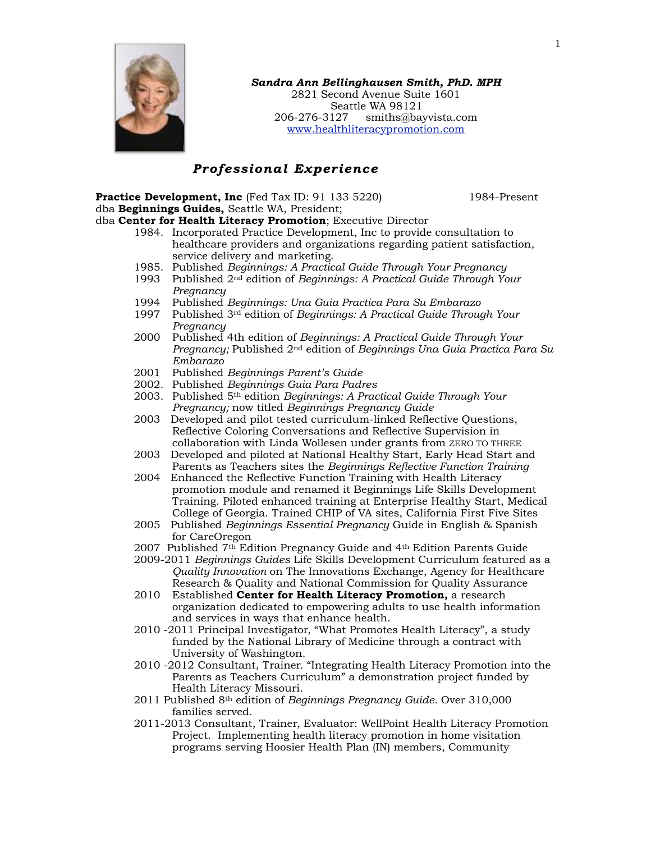

#### *Sandra Ann Bellinghausen Smith, PhD. MPH*  2821 Second Avenue Suite 1601 Seattle WA 98121 206-276-3127 [smiths@bayvista.com](mailto:sandras@u.washington.edu) [www.healthliteracypromotion.com](http://www.healthliteracypromotion.com)

# *Professional Experience*

**Practice Development, Inc** (Fed Tax ID: 91 133 5220)1984-Present dba **Beginnings Guides,** Seattle WA, President;

dba **Center for Health Literacy Promotion**; Executive Director

- 1984. Incorporated Practice Development, Inc to provide consultation to healthcare providers and organizations regarding patient satisfaction, service delivery and marketing.
- 1985. Published *Beginnings: A Practical Guide Through Your Pregnancy*
- 1993 Published 2nd edition of *Beginnings: A Practical Guide Through Your Pregnancy*
- 1994 Published *Beginnings: Una Guia Practica Para Su Embarazo*
- 1997 Published 3rd edition of *Beginnings: A Practical Guide Through Your Pregnancy*
- 2000 Published 4th edition of *Beginnings: A Practical Guide Through Your Pregnancy;* Published 2nd edition of *Beginnings Una Guia Practica Para Su Embarazo*
- 2001 Published *Beginnings Parent's Guide*
- 2002. Published *Beginnings Guia Para Padres*
- 2003. Published 5th edition *Beginnings: A Practical Guide Through Your Pregnancy;* now titled *Beginnings Pregnancy Guide*
- 2003 Developed and pilot tested curriculum-linked Reflective Questions, Reflective Coloring Conversations and Reflective Supervision in collaboration with Linda Wollesen under grants from ZERO TO THREE
- 2003 Developed and piloted at National Healthy Start, Early Head Start and Parents as Teachers sites the *Beginnings Reflective Function Training*
- 2004 Enhanced the Reflective Function Training with Health Literacy promotion module and renamed it Beginnings Life Skills Development Training. Piloted enhanced training at Enterprise Healthy Start, Medical College of Georgia. Trained CHIP of VA sites, California First Five Sites
- 2005 Published *Beginnings Essential Pregnancy* Guide in English & Spanish for CareOregon
- 2007 Published 7th Edition Pregnancy Guide and 4th Edition Parents Guide
- 2009-2011 *Beginnings Guides* Life Skills Development Curriculum featured as a *Quality Innovation* on The Innovations Exchange, Agency for Healthcare Research & Quality and National Commission for Quality Assurance
- 2010 Established **Center for Health Literacy Promotion,** a research organization dedicated to empowering adults to use health information and services in ways that enhance health.
- 2010 -2011 Principal Investigator, "What Promotes Health Literacy", a study funded by the National Library of Medicine through a contract with University of Washington.
- 2010 -2012 Consultant, Trainer. "Integrating Health Literacy Promotion into the Parents as Teachers Curriculum" a demonstration project funded by Health Literacy Missouri.
- 2011 Published 8th edition of *Beginnings Pregnancy Guide.* Over 310,000 families served.
- 2011-2013 Consultant, Trainer, Evaluator: WellPoint Health Literacy Promotion Project. Implementing health literacy promotion in home visitation programs serving Hoosier Health Plan (IN) members, Community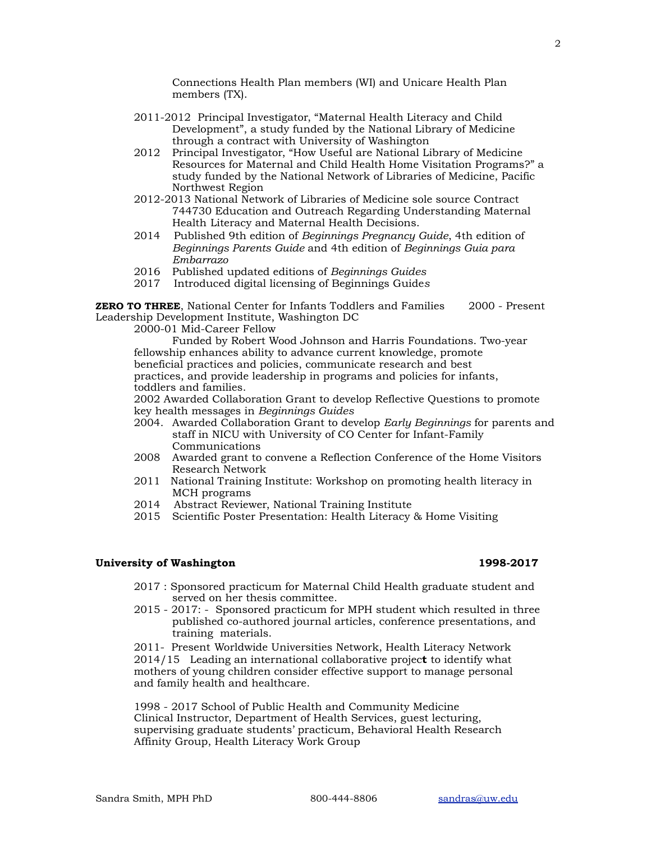Connections Health Plan members (WI) and Unicare Health Plan members (TX).

- 2011-2012 Principal Investigator, "Maternal Health Literacy and Child Development", a study funded by the National Library of Medicine through a contract with University of Washington
- 2012 Principal Investigator, "How Useful are National Library of Medicine Resources for Maternal and Child Health Home Visitation Programs?" a study funded by the National Network of Libraries of Medicine, Pacific Northwest Region
- 2012-2013 National Network of Libraries of Medicine sole source Contract 744730 Education and Outreach Regarding Understanding Maternal Health Literacy and Maternal Health Decisions.
- 2014 Published 9th edition of *Beginnings Pregnancy Guide*, 4th edition of *Beginnings Parents Guide* and 4th edition of *Beginnings Guia para Embarrazo*
- 2016 Published updated editions of *Beginnings Guides*
- 2017 Introduced digital licensing of Beginnings Guide*s*

**ZERO TO THREE**, National Center for Infants Toddlers and Families 2000 - Present Leadership Development Institute, Washington DC

2000-01 Mid-Career Fellow

Funded by Robert Wood Johnson and Harris Foundations. Two-year fellowship enhances ability to advance current knowledge, promote beneficial practices and policies, communicate research and best practices, and provide leadership in programs and policies for infants, toddlers and families.

2002 Awarded Collaboration Grant to develop Reflective Questions to promote key health messages in *Beginnings Guides* 

- 2004. Awarded Collaboration Grant to develop *Early Beginnings* for parents and staff in NICU with University of CO Center for Infant-Family Communications
- 2008 Awarded grant to convene a Reflection Conference of the Home Visitors Research Network
- 2011 National Training Institute: Workshop on promoting health literacy in MCH programs
- 2014 Abstract Reviewer, National Training Institute
- 2015 Scientific Poster Presentation: Health Literacy & Home Visiting

## **University of Washington 1998-2017**

- 2017 : Sponsored practicum for Maternal Child Health graduate student and served on her thesis committee.
- 2015 2017: Sponsored practicum for MPH student which resulted in three published co-authored journal articles, conference presentations, and training materials.

 2011- Present Worldwide Universities Network, Health Literacy Network 2014/15 Leading an international collaborative projec**t** to identify what mothers of young children consider effective support to manage personal and family health and healthcare.

1998 - 2017 School of Public Health and Community Medicine Clinical Instructor, Department of Health Services, guest lecturing, supervising graduate students' practicum, Behavioral Health Research Affinity Group, Health Literacy Work Group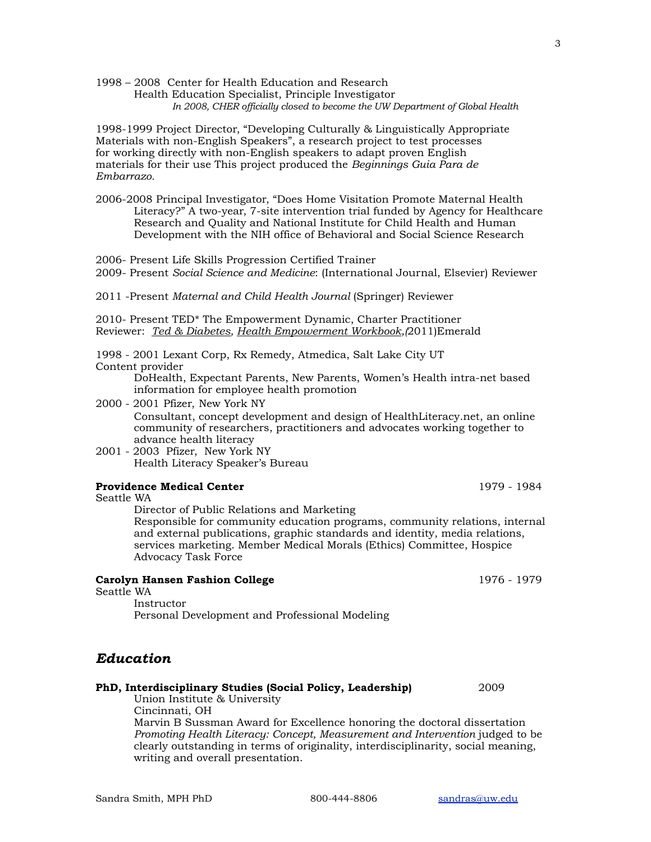1998 – 2008 Center for Health Education and Research Health Education Specialist, Principle Investigator *In 2008, CHER officially closed to become the UW Department of Global Health* 

1998-1999 Project Director, "Developing Culturally & Linguistically Appropriate Materials with non-English Speakers", a research project to test processes for working directly with non-English speakers to adapt proven English materials for their use This project produced the *Beginnings Guia Para de Embarrazo.* 

2006-2008 Principal Investigator, "Does Home Visitation Promote Maternal Health Literacy?" A two-year, 7-site intervention trial funded by Agency for Healthcare Research and Quality and National Institute for Child Health and Human Development with the NIH office of Behavioral and Social Science Research

2006- Present Life Skills Progression Certified Trainer 2009- Present *Social Science and Medicine*: (International Journal, Elsevier) Reviewer

2011 -Present *Maternal and Child Health Journal* (Springer) Reviewer

2010- Present TED\* The Empowerment Dynamic, Charter Practitioner Reviewer: *Ted & Diabetes, Health Empowerment Workbook,(*2011)Emerald

1998 - 2001 Lexant Corp, Rx Remedy, Atmedica, Salt Lake City UT Content provider

> DoHealth, Expectant Parents, New Parents, Women's Health intra-net based information for employee health promotion

- 2000 2001 Pfizer, New York NY Consultant, concept development and design of HealthLiteracy.net, an online community of researchers, practitioners and advocates working together to advance health literacy
- 2001 2003 Pfizer, New York NY Health Literacy Speaker's Bureau

## **Providence Medical Center 1979** - 1984

Seattle WA

Director of Public Relations and Marketing

Responsible for community education programs, community relations, internal and external publications, graphic standards and identity, media relations, services marketing. Member Medical Morals (Ethics) Committee, Hospice Advocacy Task Force

# **Carolyn Hansen Fashion College** 1976 - 1979

Seattle WA

 Instructor Personal Development and Professional Modeling

# *Education*

#### **PhD, Interdisciplinary Studies (Social Policy, Leadership)** 2009 Union Institute & University

 Cincinnati, OH Marvin B Sussman Award for Excellence honoring the doctoral dissertation *Promoting Health Literacy: Concept, Measurement and Intervention* judged to be clearly outstanding in terms of originality, interdisciplinarity, social meaning, writing and overall presentation.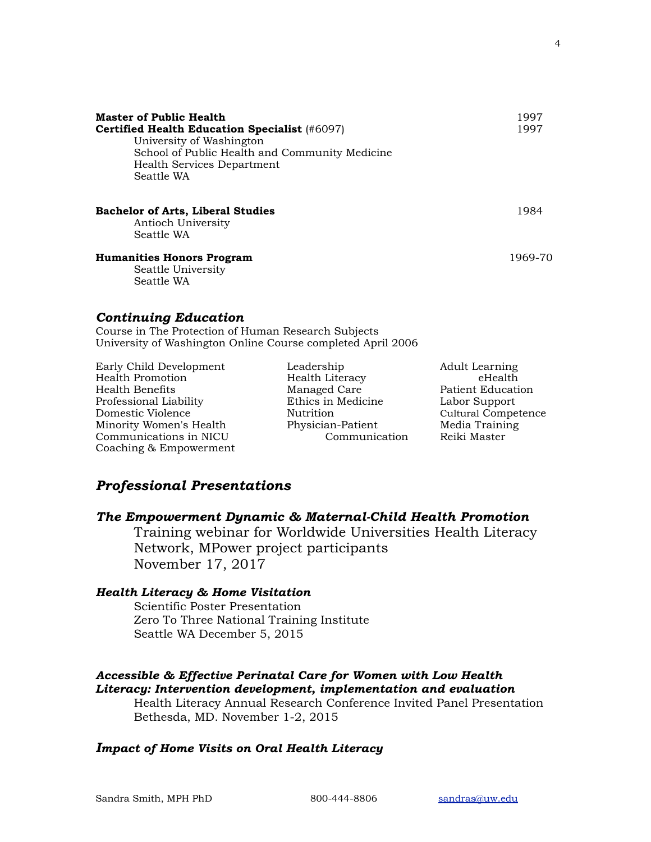| <b>Master of Public Health</b><br><b>Certified Health Education Specialist (#6097)</b><br>University of Washington<br>School of Public Health and Community Medicine<br>Health Services Department<br>Seattle WA | 1997<br>1997 |
|------------------------------------------------------------------------------------------------------------------------------------------------------------------------------------------------------------------|--------------|
| <b>Bachelor of Arts, Liberal Studies</b><br>Antioch University<br>Seattle WA                                                                                                                                     | 1984         |
| <b>Humanities Honors Program</b><br>Seattle University<br>Seattle WA                                                                                                                                             | 1969-70      |
| <b>Continuing Education</b><br>Course in The Protection of Human Research Subjects<br>University of Washington Online Course completed April 2006                                                                |              |

| Early Child Development | Leadership         | <b>Adult Learning</b>      |
|-------------------------|--------------------|----------------------------|
| Health Promotion        | Health Literacy    | eHealth                    |
| Health Benefits         | Managed Care       | Patient Education          |
| Professional Liability  | Ethics in Medicine | Labor Support              |
| Domestic Violence       | Nutrition          | <b>Cultural Competence</b> |
| Minority Women's Health | Physician-Patient  | Media Training             |
| Communications in NICU  | Communication      | Reiki Master               |
| Coaching & Empowerment  |                    |                            |

# *Professional Presentations*

# *The Empowerment Dynamic & Maternal-Child Health Promotion*

Training webinar for Worldwide Universities Health Literacy Network, MPower project participants November 17, 2017

# *Health Literacy & Home Visitation*

Scientific Poster Presentation Zero To Three National Training Institute Seattle WA December 5, 2015

# *Accessible & Effective Perinatal Care for Women with Low Health Literacy: Intervention development, implementation and evaluation*

Health Literacy Annual Research Conference Invited Panel Presentation Bethesda, MD. November 1-2, 2015

# *Impact of Home Visits on Oral Health Literacy*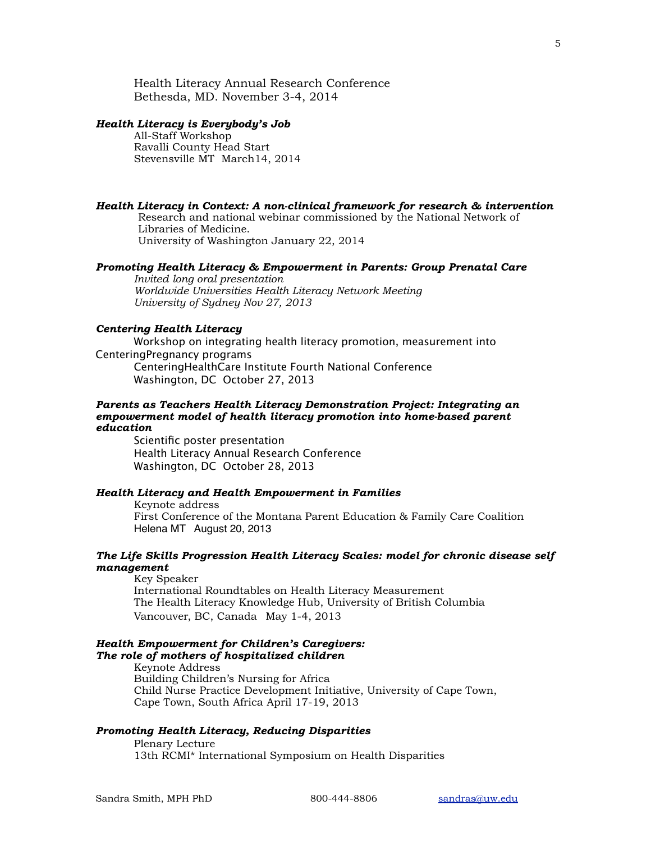Health Literacy Annual Research Conference Bethesda, MD. November 3-4, 2014

#### *Health Literacy is Everybody's Job*

All-Staff Workshop Ravalli County Head Start Stevensville MT March14, 2014

## *Health Literacy in Context: A non-clinical framework for research & intervention*

Research and national webinar commissioned by the National Network of Libraries of Medicine. University of Washington January 22, 2014

#### *Promoting Health Literacy & Empowerment in Parents: Group Prenatal Care*

*Invited long oral presentation Worldwide Universities Health Literacy Network Meeting University of Sydney Nov 27, 2013*

#### *Centering Health Literacy*

Workshop on integrating health literacy promotion, measurement into CenteringPregnancy programs CenteringHealthCare Institute Fourth National Conference Washington, DC October 27, 2013

### *Parents as Teachers Health Literacy Demonstration Project: Integrating an empowerment model of health literacy promotion into home-based parent education*

Scientific poster presentation Health Literacy Annual Research Conference Washington, DC October 28, 2013

#### *Health Literacy and Health Empowerment in Families*

Keynote address First Conference of the Montana Parent Education & Family Care Coalition Helena MT August 20, 2013

## *The Life Skills Progression Health Literacy Scales: model for chronic disease self management*

Key Speaker International Roundtables on Health Literacy Measurement The Health Literacy Knowledge Hub, University of British Columbia Vancouver, BC, CanadaMay 1-4, 2013

# *Health Empowerment for Children's Caregivers: The role of mothers of hospitalized children*

Keynote Address Building Children's Nursing for Africa Child Nurse Practice Development Initiative, University of Cape Town, Cape Town, South Africa April 17-19, 2013

# *Promoting Health Literacy, Reducing Disparities*

Plenary Lecture 13th RCMI\* International Symposium on Health Disparities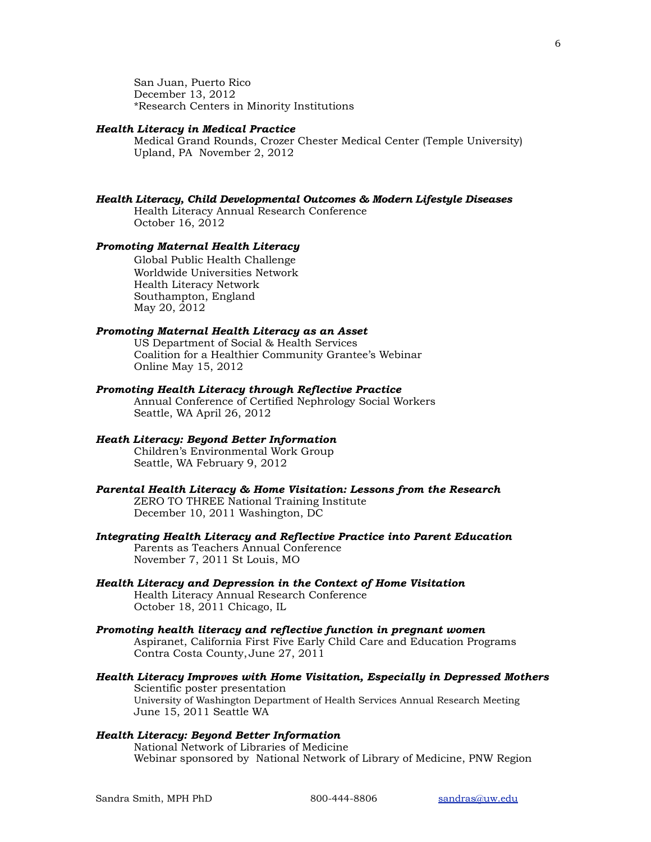San Juan, Puerto Rico December 13, 2012 \*Research Centers in Minority Institutions

#### *Health Literacy in Medical Practice*

Medical Grand Rounds, Crozer Chester Medical Center (Temple University) Upland, PA November 2, 2012

# *Health Literacy, Child Developmental Outcomes & Modern Lifestyle Diseases*

Health Literacy Annual Research Conference October 16, 2012

## *Promoting Maternal Health Literacy*

Global Public Health Challenge Worldwide Universities Network Health Literacy Network Southampton, England May 20, 2012

#### *Promoting Maternal Health Literacy as an Asset*

US Department of Social & Health Services Coalition for a Healthier Community Grantee's Webinar Online May 15, 2012

### *Promoting Health Literacy through Reflective Practice*

Annual Conference of Certified Nephrology Social Workers Seattle, WA April 26, 2012

#### *Heath Literacy: Beyond Better Information*

Children's Environmental Work Group Seattle, WA February 9, 2012

#### *Parental Health Literacy & Home Visitation: Lessons from the Research*  ZERO TO THREE National Training Institute December 10, 2011 Washington, DC

#### *Integrating Health Literacy and Reflective Practice into Parent Education*  Parents as Teachers Annual Conference November 7, 2011 St Louis, MO

#### *Health Literacy and Depression in the Context of Home Visitation*  Health Literacy Annual Research Conference October 18, 2011 Chicago, IL

## *Promoting health literacy and reflective function in pregnant women*  Aspiranet, California First Five Early Child Care and Education Programs Contra Costa County, June 27, 2011

#### *Health Literacy Improves with Home Visitation, Especially in Depressed Mothers*  Scientific poster presentation University of Washington Department of Health Services Annual Research Meeting June 15, 2011 Seattle WA

#### *Health Literacy: Beyond Better Information*  National Network of Libraries of Medicine

Webinar sponsored by National Network of Library of Medicine, PNW Region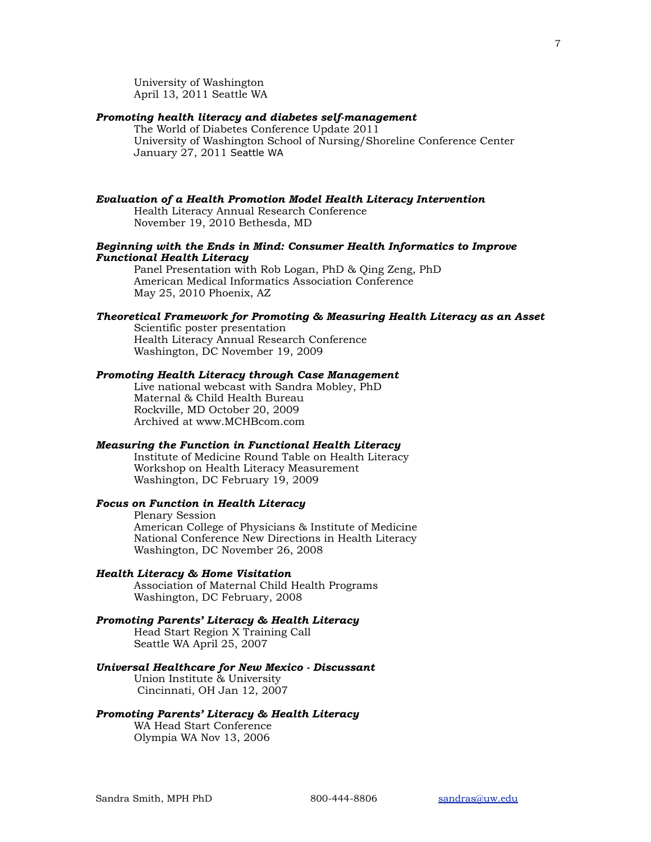University of Washington April 13, 2011 Seattle WA

## *Promoting health literacy and diabetes self-management*

The World of Diabetes Conference Update 2011 University of Washington School of Nursing/Shoreline Conference Center January 27, 2011 Seattle WA

# *Evaluation of a Health Promotion Model Health Literacy Intervention*

Health Literacy Annual Research Conference November 19, 2010 Bethesda, MD

## *Beginning with the Ends in Mind: Consumer Health Informatics to Improve Functional Health Literacy*

Panel Presentation with Rob Logan, PhD & Qing Zeng, PhD American Medical Informatics Association Conference May 25, 2010 Phoenix, AZ

#### *Theoretical Framework for Promoting & Measuring Health Literacy as an Asset*

Scientific poster presentation Health Literacy Annual Research Conference Washington, DC November 19, 2009

## *Promoting Health Literacy through Case Management*

Live national webcast with Sandra Mobley, PhD Maternal & Child Health Bureau Rockville, MD October 20, 2009 Archived at www.MCHBcom.com

# *Measuring the Function in Functional Health Literacy*

 Institute of Medicine Round Table on Health Literacy Workshop on Health Literacy Measurement Washington, DC February 19, 2009

## *Focus on Function in Health Literacy*

Plenary Session American College of Physicians & Institute of Medicine National Conference New Directions in Health Literacy Washington, DC November 26, 2008

## *Health Literacy & Home Visitation*

Association of Maternal Child Health Programs Washington, DC February, 2008

# *Promoting Parents' Literacy & Health Literacy*

Head Start Region X Training Call Seattle WA April 25, 2007

## *Universal Healthcare for New Mexico - Discussant*

 Union Institute & University Cincinnati, OH Jan 12, 2007

## *Promoting Parents' Literacy & Health Literacy*

WA Head Start Conference Olympia WA Nov 13, 2006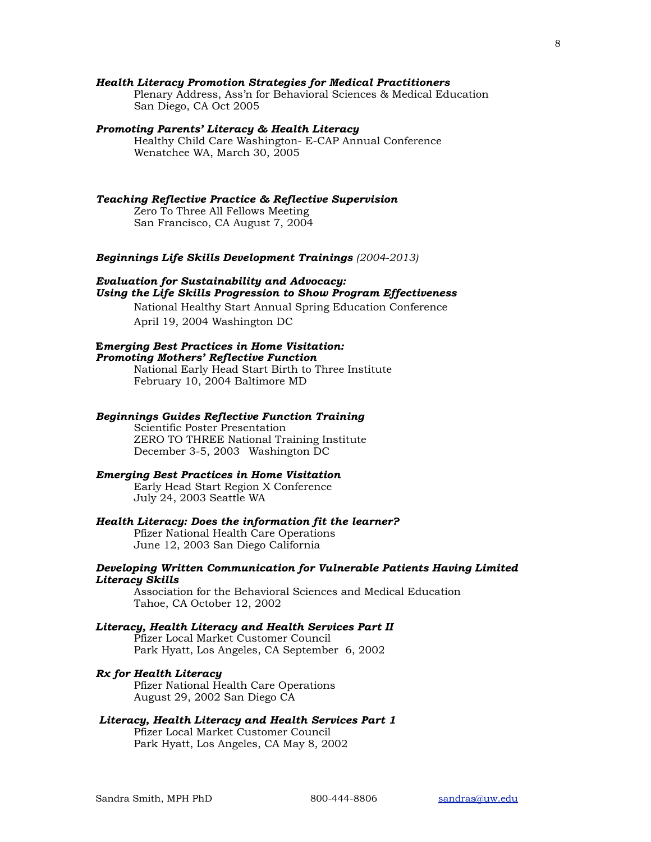### *Health Literacy Promotion Strategies for Medical Practitioners*

Plenary Address, Ass'n for Behavioral Sciences & Medical Education San Diego, CA Oct 2005

#### *Promoting Parents' Literacy & Health Literacy*

Healthy Child Care Washington- E-CAP Annual Conference Wenatchee WA, March 30, 2005

## *Teaching Reflective Practice & Reflective Supervision*

Zero To Three All Fellows Meeting San Francisco, CA August 7, 2004

#### *Beginnings Life Skills Development Trainings (2004-2013)*

# *Evaluation for Sustainability and Advocacy: Using the Life Skills Progression to Show Program Effectiveness*

National Healthy Start Annual Spring Education Conference April 19, 2004 Washington DC

# **E***merging Best Practices in Home Visitation:*

# *Promoting Mothers' Reflective Function*

National Early Head Start Birth to Three Institute February 10, 2004 Baltimore MD

## *Beginnings Guides Reflective Function Training*

Scientific Poster Presentation ZERO TO THREE National Training Institute December 3-5, 2003 Washington DC

## *Emerging Best Practices in Home Visitation*

Early Head Start Region X Conference July 24, 2003 Seattle WA

# *Health Literacy: Does the information fit the learner?*

Pfizer National Health Care Operations June 12, 2003 San Diego California

## *Developing Written Communication for Vulnerable Patients Having Limited Literacy Skills*

Association for the Behavioral Sciences and Medical Education Tahoe, CA October 12, 2002

## *Literacy, Health Literacy and Health Services Part II*

Pfizer Local Market Customer Council Park Hyatt, Los Angeles, CA September 6, 2002

#### *Rx for Health Literacy*

Pfizer National Health Care Operations August 29, 2002 San Diego CA

#### *Literacy, Health Literacy and Health Services Part 1*

Pfizer Local Market Customer Council Park Hyatt, Los Angeles, CA May 8, 2002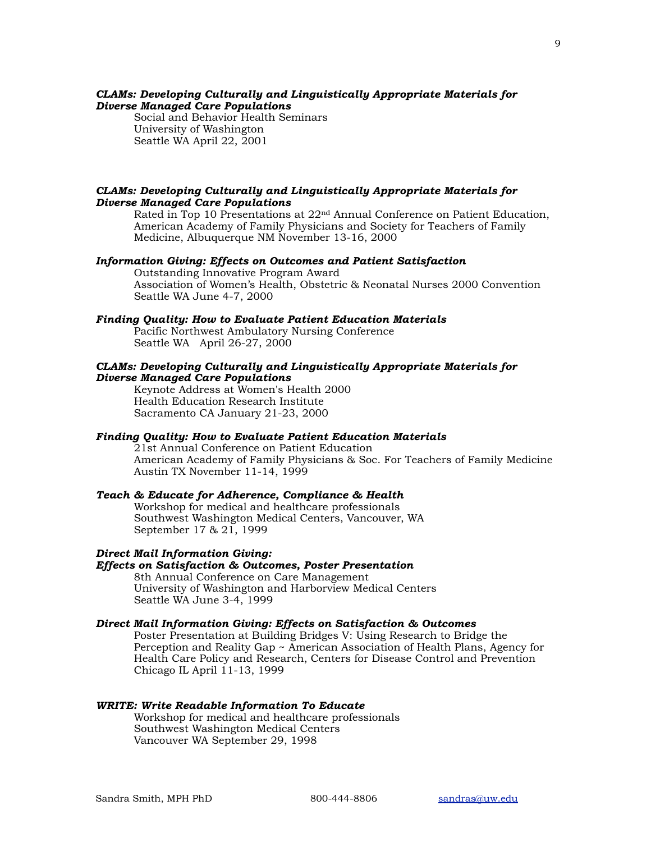## *CLAMs: Developing Culturally and Linguistically Appropriate Materials for Diverse Managed Care Populations*

Social and Behavior Health Seminars University of Washington Seattle WA April 22, 2001

#### *CLAMs: Developing Culturally and Linguistically Appropriate Materials for Diverse Managed Care Populations*

Rated in Top 10 Presentations at 22nd Annual Conference on Patient Education, American Academy of Family Physicians and Society for Teachers of Family Medicine, Albuquerque NM November 13-16, 2000

#### *Information Giving: Effects on Outcomes and Patient Satisfaction*

Outstanding Innovative Program Award Association of Women's Health, Obstetric & Neonatal Nurses 2000 Convention Seattle WA June 4-7, 2000

#### *Finding Quality: How to Evaluate Patient Education Materials*

 Pacific Northwest Ambulatory Nursing Conference Seattle WA April 26-27, 2000

## *CLAMs: Developing Culturally and Linguistically Appropriate Materials for Diverse Managed Care Populations*

 Keynote Address at Women's Health 2000 Health Education Research Institute Sacramento CA January 21-23, 2000

## *Finding Quality: How to Evaluate Patient Education Materials*

21st Annual Conference on Patient Education American Academy of Family Physicians & Soc. For Teachers of Family Medicine Austin TX November 11-14, 1999

## *Teach & Educate for Adherence, Compliance & Health*

Workshop for medical and healthcare professionals Southwest Washington Medical Centers, Vancouver, WA September 17 & 21, 1999

#### *Direct Mail Information Giving:*

# *Effects on Satisfaction & Outcomes, Poster Presentation*

8th Annual Conference on Care Management University of Washington and Harborview Medical Centers Seattle WA June 3-4, 1999

# *Direct Mail Information Giving: Effects on Satisfaction & Outcomes*

Poster Presentation at Building Bridges V: Using Research to Bridge the Perception and Reality Gap ~ American Association of Health Plans, Agency for Health Care Policy and Research, Centers for Disease Control and Prevention Chicago IL April 11-13, 1999

#### *WRITE: Write Readable Information To Educate*

Workshop for medical and healthcare professionals Southwest Washington Medical Centers Vancouver WA September 29, 1998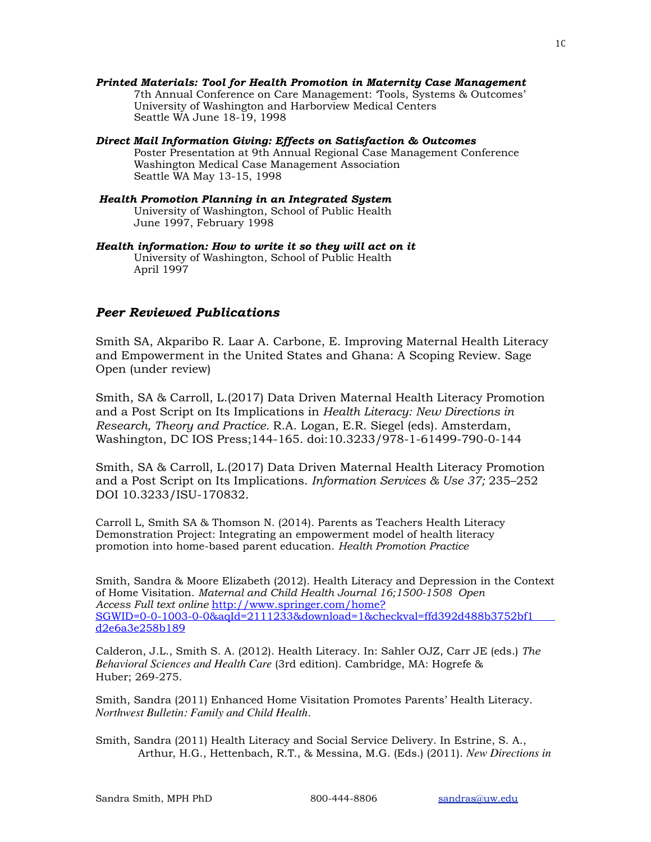- *Printed Materials: Tool for Health Promotion in Maternity Case Management*  7th Annual Conference on Care Management: 'Tools, Systems & Outcomes' University of Washington and Harborview Medical Centers Seattle WA June 18-19, 1998
- *Direct Mail Information Giving: Effects on Satisfaction & Outcomes* Poster Presentation at 9th Annual Regional Case Management Conference Washington Medical Case Management Association Seattle WA May 13-15, 1998
- *Health Promotion Planning in an Integrated System*  University of Washington, School of Public Health June 1997, February 1998
- *Health information: How to write it so they will act on it* University of Washington, School of Public Health April 1997

# *Peer Reviewed Publications*

Smith SA, Akparibo R. Laar A. Carbone, E. Improving Maternal Health Literacy and Empowerment in the United States and Ghana: A Scoping Review. Sage Open (under review)

Smith, SA & Carroll, L.(2017) Data Driven Maternal Health Literacy Promotion and a Post Script on Its Implications in *Health Literacy: New Directions in Research, Theory and Practice.* R.A. Logan, E.R. Siegel (eds). Amsterdam, Washington, DC IOS Press;144-165. doi:10.3233/978-1-61499-790-0-144

Smith, SA & Carroll, L.(2017) Data Driven Maternal Health Literacy Promotion and a Post Script on Its Implications. *Information Services & Use 37;* 235–252 DOI 10.3233/ISU-170832.

Carroll L, Smith SA & Thomson N. (2014). Parents as Teachers Health Literacy Demonstration Project: Integrating an empowerment model of health literacy promotion into home-based parent education. *Health Promotion Practice* 

Smith, Sandra & Moore Elizabeth (2012). Health Literacy and Depression in the Context of Home Visitation. *Maternal and Child Health Journal 16;1500-1508 Open Access Full text online* [http://www.springer.com/home?](http://www.springer.com/home?SGWID=0-0-1003-0-0&aqId=2111233&download=1&checkval=ffd392d488b3752bf1d2e6a3e258b189)  [SGWID=0-0-1003-0-0&aqId=2111233&download=1&checkval=ffd392d488b3752bf1](http://www.springer.com/home?SGWID=0-0-1003-0-0&aqId=2111233&download=1&checkval=ffd392d488b3752bf1d2e6a3e258b189)  [d2e6a3e258b189](http://www.springer.com/home?SGWID=0-0-1003-0-0&aqId=2111233&download=1&checkval=ffd392d488b3752bf1d2e6a3e258b189)

Calderon, J.L., Smith S. A. (2012). Health Literacy. In: Sahler OJZ, Carr JE (eds.) *The Behavioral Sciences and Health Care* (3rd edition). Cambridge, MA: Hogrefe & Huber; 269-275.

Smith, Sandra (2011) Enhanced Home Visitation Promotes Parents' Health Literacy. *Northwest Bulletin: Family and Child Health.*

Smith, Sandra (2011) Health Literacy and Social Service Delivery. In Estrine, S. A., Arthur, H.G., Hettenbach, R.T., & Messina, M.G. (Eds.) (2011). *New Directions in*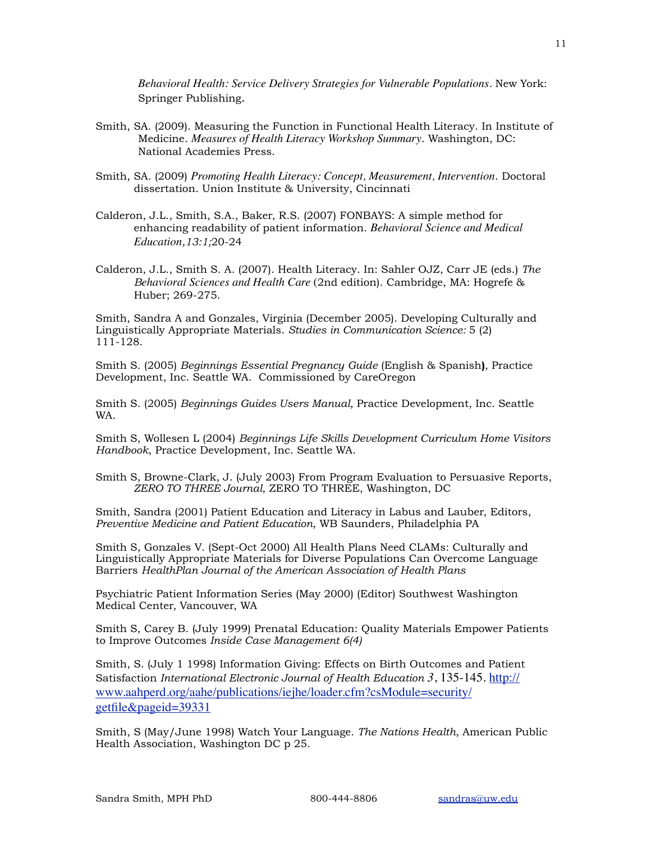*Behavioral Health: Service Delivery Strategies for Vulnerable Populations*. New York: Springer Publishing.

- Smith, SA. (2009). Measuring the Function in Functional Health Literacy. In Institute of Medicine. *Measures of Health Literacy Workshop Summary*. Washington, DC: National Academies Press.
- Smith, SA. (2009) *Promoting Health Literacy: Concept, Measurement, Intervention*. Doctoral dissertation. Union Institute & University, Cincinnati
- Calderon, J.L., Smith, S.A., Baker, R.S. (2007) FONBAYS: A simple method for enhancing readability of patient information. *Behavioral Science and Medical Education,13:1;*20-24
- Calderon, J.L., Smith S. A. (2007). Health Literacy. In: Sahler OJZ, Carr JE (eds.) *The Behavioral Sciences and Health Care* (2nd edition). Cambridge, MA: Hogrefe & Huber; 269-275.

Smith, Sandra A and Gonzales, Virginia (December 2005). Developing Culturally and Linguistically Appropriate Materials. *Studies in Communication Science:* 5 (2) 111-128.

Smith S. (2005) *Beginnings Essential Pregnancy Guide* (English & Spanish**)**, Practice Development, Inc. Seattle WA. Commissioned by CareOregon

Smith S. (2005) *Beginnings Guides Users Manual,* Practice Development, Inc. Seattle WA.

Smith S, Wollesen L (2004) *Beginnings Life Skills Development Curriculum Home Visitors Handbook*, Practice Development, Inc. Seattle WA.

Smith S, Browne-Clark, J. (July 2003) From Program Evaluation to Persuasive Reports, *ZERO TO THREE Journal*, ZERO TO THREE, Washington, DC

Smith, Sandra (2001) Patient Education and Literacy in Labus and Lauber, Editors, *Preventive Medicine and Patient Education*, WB Saunders, Philadelphia PA

Smith S, Gonzales V. (Sept-Oct 2000) All Health Plans Need CLAMs: Culturally and Linguistically Appropriate Materials for Diverse Populations Can Overcome Language Barriers *HealthPlan Journal of the American Association of Health Plans* 

Psychiatric Patient Information Series (May 2000) (Editor) Southwest Washington Medical Center, Vancouver, WA

Smith S, Carey B. (July 1999) Prenatal Education: Quality Materials Empower Patients to Improve Outcomes *Inside Case Management 6(4)* 

Smith, S. (July 1 1998) Information Giving: Effects on Birth Outcomes and Patient Satisfaction *International Electronic Journal of Health Education 3*, 135-145. [http://](http://www.aahperd.org/aahe/publications/iejhe/loader.cfm?csModule=security/getfile&pageid=39331) [www.aahperd.org/aahe/publications/iejhe/loader.cfm?csModule=security/](http://www.aahperd.org/aahe/publications/iejhe/loader.cfm?csModule=security/getfile&pageid=39331) [getfile&pageid=39331](http://www.aahperd.org/aahe/publications/iejhe/loader.cfm?csModule=security/getfile&pageid=39331)

Smith, S (May/June 1998) Watch Your Language. *The Nations Health*, American Public Health Association, Washington DC p 25.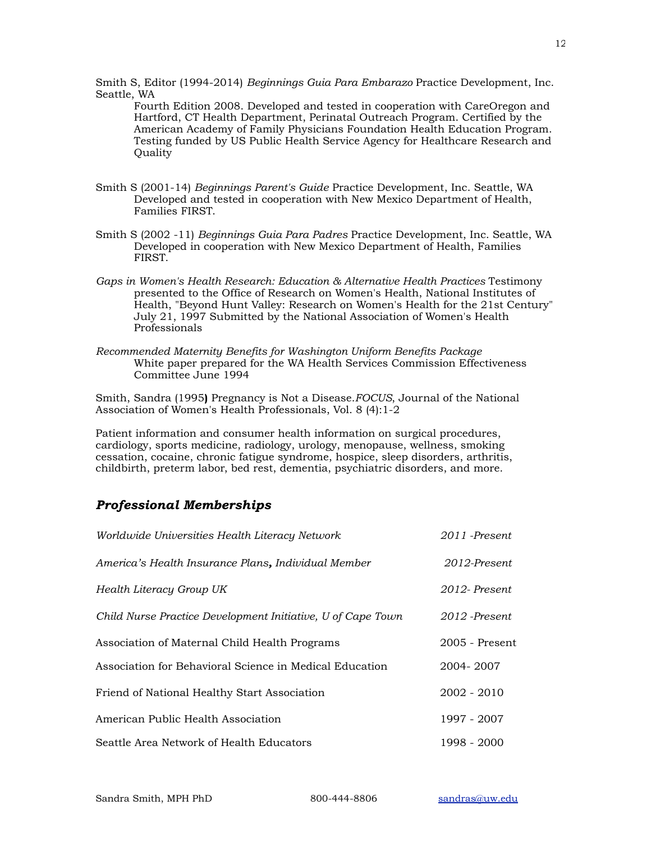Smith S, Editor (1994-2014) *Beginnings Guia Para Embarazo* Practice Development, Inc. Seattle, WA

Fourth Edition 2008. Developed and tested in cooperation with CareOregon and Hartford, CT Health Department, Perinatal Outreach Program. Certified by the American Academy of Family Physicians Foundation Health Education Program. Testing funded by US Public Health Service Agency for Healthcare Research and Quality

- Smith S (2001-14) *Beginnings Parent's Guide* Practice Development, Inc. Seattle, WA Developed and tested in cooperation with New Mexico Department of Health, Families FIRST.
- Smith S (2002 -11) *Beginnings Guia Para Padres* Practice Development, Inc. Seattle, WA Developed in cooperation with New Mexico Department of Health, Families FIRST.
- *Gaps in Women's Health Research: Education & Alternative Health Practices* Testimony presented to the Office of Research on Women's Health, National Institutes of Health, "Beyond Hunt Valley: Research on Women's Health for the 21st Century" July 21, 1997 Submitted by the National Association of Women's Health Professionals
- *Recommended Maternity Benefits for Washington Uniform Benefits Package*  White paper prepared for the WA Health Services Commission Effectiveness Committee June 1994

Smith, Sandra (1995**)** Pregnancy is Not a Disease.*FOCUS*, Journal of the National Association of Women's Health Professionals, Vol. 8 (4):1-2

Patient information and consumer health information on surgical procedures, cardiology, sports medicine, radiology, urology, menopause, wellness, smoking cessation, cocaine, chronic fatigue syndrome, hospice, sleep disorders, arthritis, childbirth, preterm labor, bed rest, dementia, psychiatric disorders, and more.

# *Professional Memberships*

| Worldwide Universities Health Literacy Network              | 2011 -Present    |
|-------------------------------------------------------------|------------------|
| America's Health Insurance Plans, Individual Member         | 2012-Present     |
| Health Literacy Group UK                                    | 2012-Present     |
| Child Nurse Practice Development Initiative, U of Cape Town | 2012 -Present    |
| Association of Maternal Child Health Programs               | $2005$ - Present |
| Association for Behavioral Science in Medical Education     | 2004-2007        |
| Friend of National Healthy Start Association                | $2002 - 2010$    |
| American Public Health Association                          | 1997 - 2007      |
| Seattle Area Network of Health Educators                    | 1998 - 2000      |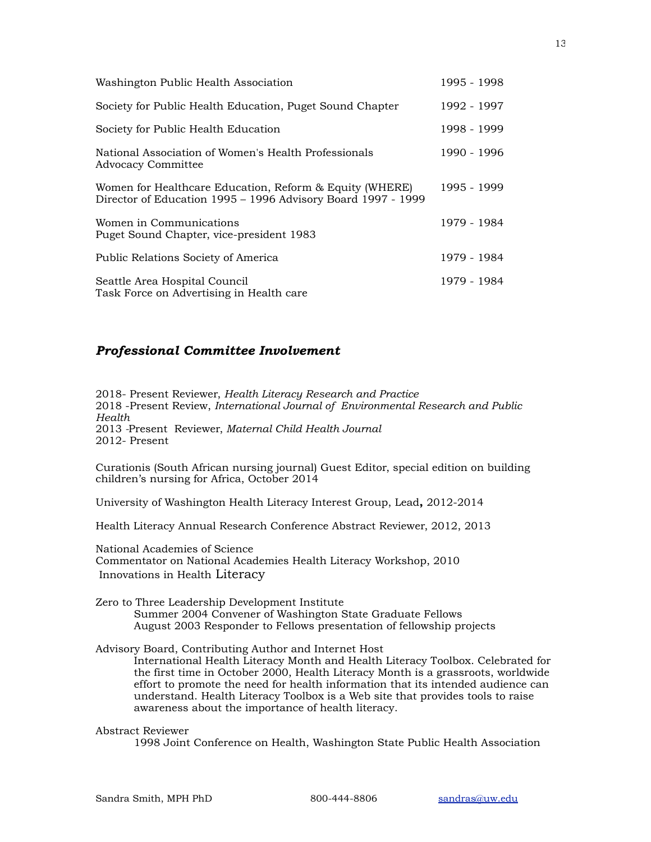| Washington Public Health Association                                                                                    | 1995 - 1998 |
|-------------------------------------------------------------------------------------------------------------------------|-------------|
| Society for Public Health Education, Puget Sound Chapter                                                                | 1992 - 1997 |
| Society for Public Health Education                                                                                     | 1998 - 1999 |
| National Association of Women's Health Professionals<br><b>Advocacy Committee</b>                                       | 1990 - 1996 |
| Women for Healthcare Education, Reform & Equity (WHERE)<br>Director of Education 1995 - 1996 Advisory Board 1997 - 1999 | 1995 - 1999 |
| Women in Communications<br>Puget Sound Chapter, vice-president 1983                                                     | 1979 - 1984 |
| Public Relations Society of America                                                                                     | 1979 - 1984 |
| Seattle Area Hospital Council<br>Task Force on Advertising in Health care                                               | 1979 - 1984 |

# *Professional Committee Involvement*

2018- Present Reviewer, *Health Literacy Research and Practice*  2018 -Present Review, *International Journal of Environmental Research and Public Health* 2013 *-*Present Reviewer, *Maternal Child Health Journal*  2012- Present

Curationis (South African nursing journal) Guest Editor, special edition on building children's nursing for Africa, October 2014

University of Washington Health Literacy Interest Group, Lead**,** 2012-2014

Health Literacy Annual Research Conference Abstract Reviewer, 2012, 2013

National Academies of Science Commentator on National Academies Health Literacy Workshop, 2010 Innovations in Health Literacy

Zero to Three Leadership Development Institute Summer 2004 Convener of Washington State Graduate Fellows August 2003 Responder to Fellows presentation of fellowship projects

Advisory Board, Contributing Author and Internet Host

International Health Literacy Month and Health Literacy Toolbox. Celebrated for the first time in October 2000, Health Literacy Month is a grassroots, worldwide effort to promote the need for health information that its intended audience can understand. Health Literacy Toolbox is a Web site that provides tools to raise awareness about the importance of health literacy.

#### Abstract Reviewer

1998 Joint Conference on Health, Washington State Public Health Association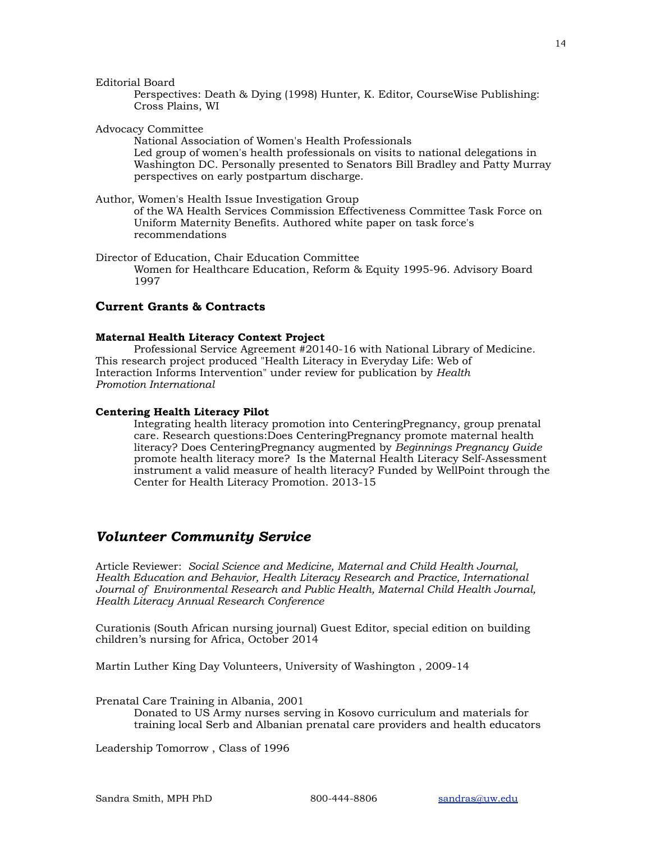Editorial Board

Perspectives: Death & Dying (1998) Hunter, K. Editor, CourseWise Publishing: Cross Plains, WI

Advocacy Committee

National Association of Women's Health Professionals Led group of women's health professionals on visits to national delegations in Washington DC. Personally presented to Senators Bill Bradley and Patty Murray perspectives on early postpartum discharge.

Author, Women's Health Issue Investigation Group

of the WA Health Services Commission Effectiveness Committee Task Force on Uniform Maternity Benefits. Authored white paper on task force's recommendations

Director of Education, Chair Education Committee Women for Healthcare Education, Reform & Equity 1995-96. Advisory Board 1997

## **Current Grants & Contracts**

#### **Maternal Health Literacy Context Project**

 Professional Service Agreement #20140-16 with National Library of Medicine. This research project produced "Health Literacy in Everyday Life: Web of Interaction Informs Intervention" under review for publication by *Health Promotion International*

#### **Centering Health Literacy Pilot**

Integrating health literacy promotion into CenteringPregnancy, group prenatal care. Research questions:Does CenteringPregnancy promote maternal health literacy? Does CenteringPregnancy augmented by *Beginnings Pregnancy Guide* promote health literacy more? Is the Maternal Health Literacy Self-Assessment instrument a valid measure of health literacy? Funded by WellPoint through the Center for Health Literacy Promotion. 2013-15

# *Volunteer Community Service*

Article Reviewer: *Social Science and Medicine, Maternal and Child Health Journal, Health Education and Behavior, Health Literacy Research and Practice, International Journal of Environmental Research and Public Health, Maternal Child Health Journal, Health Literacy Annual Research Conference* 

Curationis (South African nursing journal) Guest Editor, special edition on building children's nursing for Africa, October 2014

Martin Luther King Day Volunteers, University of Washington , 2009-14

Prenatal Care Training in Albania, 2001

Donated to US Army nurses serving in Kosovo curriculum and materials for training local Serb and Albanian prenatal care providers and health educators

Leadership Tomorrow , Class of 1996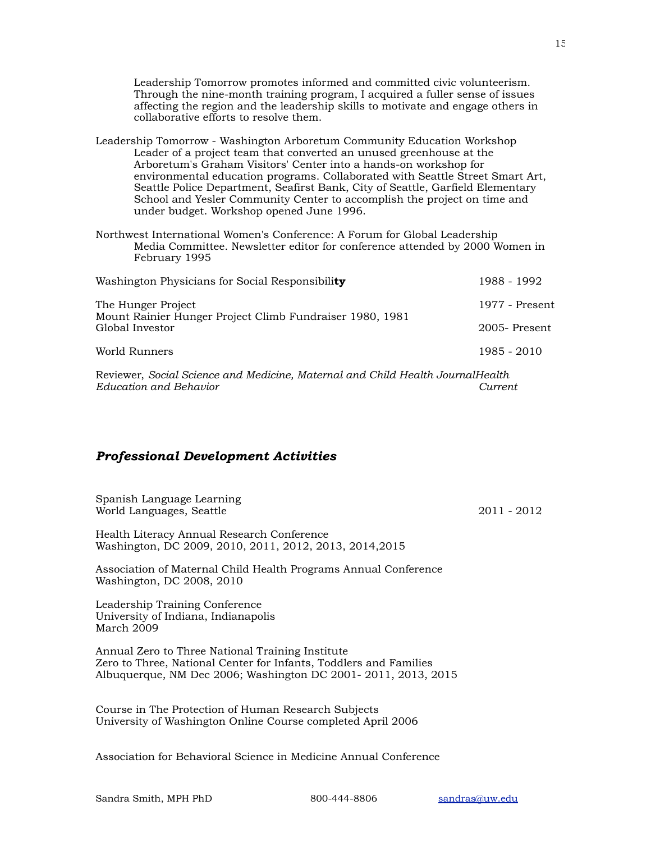Leadership Tomorrow promotes informed and committed civic volunteerism. Through the nine-month training program, I acquired a fuller sense of issues affecting the region and the leadership skills to motivate and engage others in collaborative efforts to resolve them.

Leadership Tomorrow - Washington Arboretum Community Education Workshop Leader of a project team that converted an unused greenhouse at the Arboretum's Graham Visitors' Center into a hands-on workshop for environmental education programs. Collaborated with Seattle Street Smart Art, Seattle Police Department, Seafirst Bank, City of Seattle, Garfield Elementary School and Yesler Community Center to accomplish the project on time and under budget. Workshop opened June 1996.

Northwest International Women's Conference: A Forum for Global Leadership Media Committee. Newsletter editor for conference attended by 2000 Women in February 1995

| Washington Physicians for Social Responsibility                                                   | 1988 - 1992      |
|---------------------------------------------------------------------------------------------------|------------------|
| The Hunger Project<br>Mount Rainier Hunger Project Climb Fundraiser 1980, 1981<br>Global Investor | 1977 - Present   |
|                                                                                                   | $2005$ - Present |
| World Runners                                                                                     | 1985 - 2010      |

Reviewer, *Social Science and Medicine, Maternal and Child Health JournalHealth Education and Behavior Current*

# *Professional Development Activities*

Spanish Language Learning World Languages, Seattle 2011 - 2012

Health Literacy Annual Research Conference Washington, DC 2009, 2010, 2011, 2012, 2013, 2014,2015

Association of Maternal Child Health Programs Annual Conference Washington, DC 2008, 2010

Leadership Training Conference University of Indiana, Indianapolis March 2009

Annual Zero to Three National Training Institute Zero to Three, National Center for Infants, Toddlers and Families Albuquerque, NM Dec 2006; Washington DC 2001- 2011, 2013, 2015

Course in The Protection of Human Research Subjects University of Washington Online Course completed April 2006

Association for Behavioral Science in Medicine Annual Conference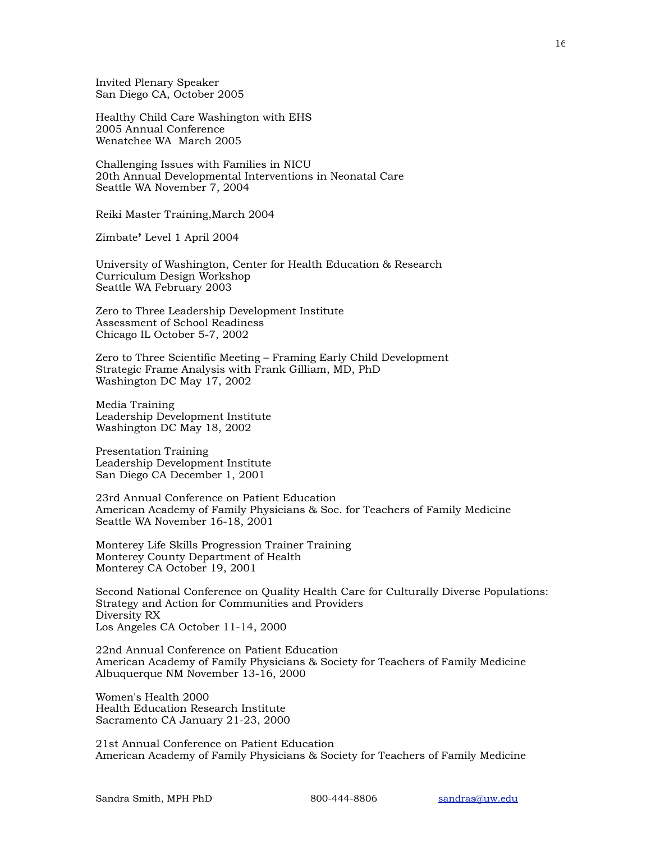Invited Plenary Speaker San Diego CA, October 2005

Healthy Child Care Washington with EHS 2005 Annual Conference Wenatchee WA March 2005

Challenging Issues with Families in NICU 20th Annual Developmental Interventions in Neonatal Care Seattle WA November 7, 2004

Reiki Master Training,March 2004

Zimbate**'** Level 1 April 2004

University of Washington, Center for Health Education & Research Curriculum Design Workshop Seattle WA February 2003

Zero to Three Leadership Development Institute Assessment of School Readiness Chicago IL October 5-7, 2002

Zero to Three Scientific Meeting – Framing Early Child Development Strategic Frame Analysis with Frank Gilliam, MD, PhD Washington DC May 17, 2002

Media Training Leadership Development Institute Washington DC May 18, 2002

Presentation Training Leadership Development Institute San Diego CA December 1, 2001

23rd Annual Conference on Patient Education American Academy of Family Physicians & Soc. for Teachers of Family Medicine Seattle WA November 16-18, 2001

Monterey Life Skills Progression Trainer Training Monterey County Department of Health Monterey CA October 19, 2001

Second National Conference on Quality Health Care for Culturally Diverse Populations: Strategy and Action for Communities and Providers Diversity RX Los Angeles CA October 11-14, 2000

22nd Annual Conference on Patient Education American Academy of Family Physicians & Society for Teachers of Family Medicine Albuquerque NM November 13-16, 2000

Women's Health 2000 Health Education Research Institute Sacramento CA January 21-23, 2000

21st Annual Conference on Patient Education American Academy of Family Physicians & Society for Teachers of Family Medicine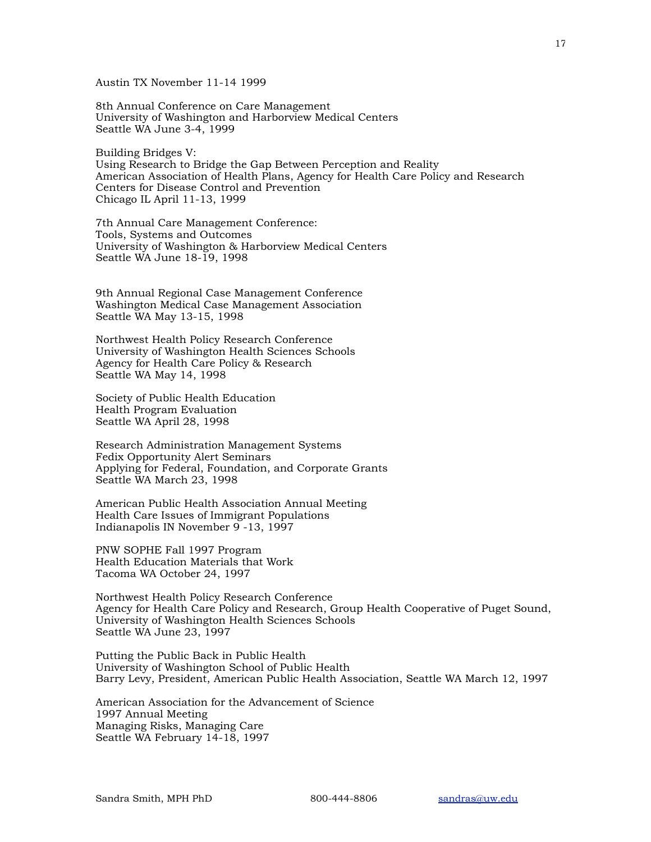Austin TX November 11-14 1999

8th Annual Conference on Care Management University of Washington and Harborview Medical Centers Seattle WA June 3-4, 1999

Building Bridges V: Using Research to Bridge the Gap Between Perception and Reality American Association of Health Plans, Agency for Health Care Policy and Research Centers for Disease Control and Prevention Chicago IL April 11-13, 1999

7th Annual Care Management Conference: Tools, Systems and Outcomes University of Washington & Harborview Medical Centers Seattle WA June 18-19, 1998

9th Annual Regional Case Management Conference Washington Medical Case Management Association Seattle WA May 13-15, 1998

Northwest Health Policy Research Conference University of Washington Health Sciences Schools Agency for Health Care Policy & Research Seattle WA May 14, 1998

Society of Public Health Education Health Program Evaluation Seattle WA April 28, 1998

Research Administration Management Systems Fedix Opportunity Alert Seminars Applying for Federal, Foundation, and Corporate Grants Seattle WA March 23, 1998

American Public Health Association Annual Meeting Health Care Issues of Immigrant Populations Indianapolis IN November 9 -13, 1997

PNW SOPHE Fall 1997 Program Health Education Materials that Work Tacoma WA October 24, 1997

Northwest Health Policy Research Conference Agency for Health Care Policy and Research, Group Health Cooperative of Puget Sound, University of Washington Health Sciences Schools Seattle WA June 23, 1997

Putting the Public Back in Public Health University of Washington School of Public Health Barry Levy, President, American Public Health Association, Seattle WA March 12, 1997

American Association for the Advancement of Science 1997 Annual Meeting Managing Risks, Managing Care Seattle WA February 14-18, 1997